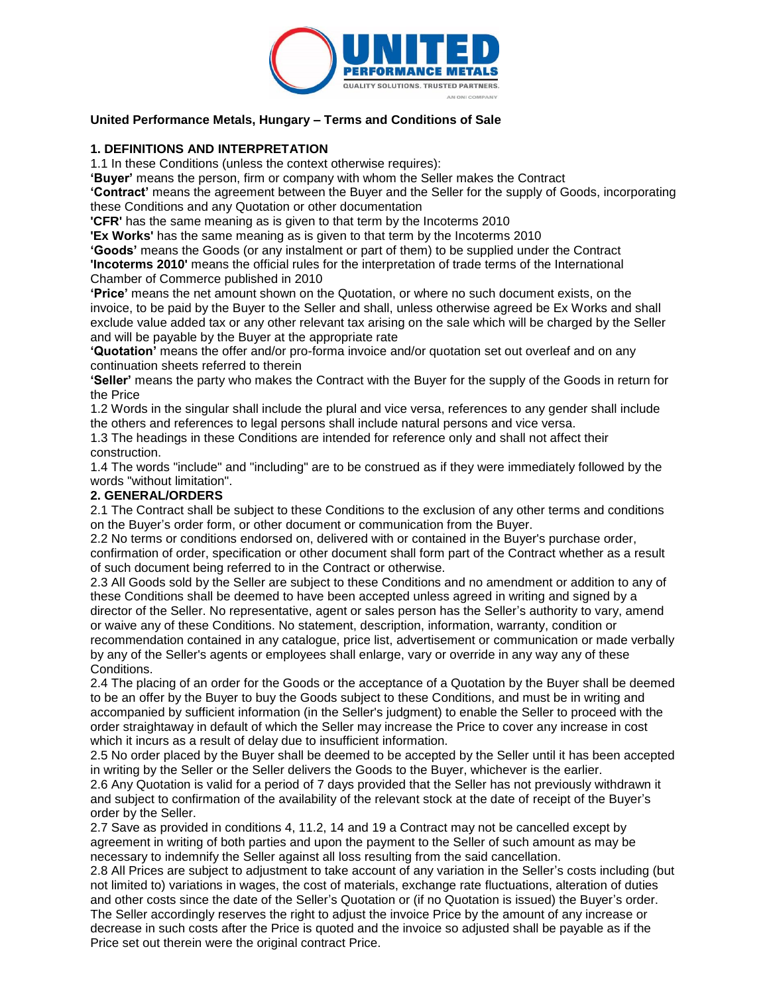

### **United Performance Metals, Hungary – Terms and Conditions of Sale**

#### **1. DEFINITIONS AND INTERPRETATION**

1.1 In these Conditions (unless the context otherwise requires):

**'Buyer'** means the person, firm or company with whom the Seller makes the Contract

**'Contract'** means the agreement between the Buyer and the Seller for the supply of Goods, incorporating these Conditions and any Quotation or other documentation

**'CFR'** has the same meaning as is given to that term by the Incoterms 2010

**'Ex Works'** has the same meaning as is given to that term by the Incoterms 2010

**'Goods'** means the Goods (or any instalment or part of them) to be supplied under the Contract **'Incoterms 2010'** means the official rules for the interpretation of trade terms of the International Chamber of Commerce published in 2010

**'Price'** means the net amount shown on the Quotation, or where no such document exists, on the invoice, to be paid by the Buyer to the Seller and shall, unless otherwise agreed be Ex Works and shall exclude value added tax or any other relevant tax arising on the sale which will be charged by the Seller and will be payable by the Buyer at the appropriate rate

**'Quotation'** means the offer and/or pro-forma invoice and/or quotation set out overleaf and on any continuation sheets referred to therein

**'Seller'** means the party who makes the Contract with the Buyer for the supply of the Goods in return for the Price

1.2 Words in the singular shall include the plural and vice versa, references to any gender shall include the others and references to legal persons shall include natural persons and vice versa.

1.3 The headings in these Conditions are intended for reference only and shall not affect their construction.

1.4 The words "include" and "including" are to be construed as if they were immediately followed by the words "without limitation".

#### **2. GENERAL/ORDERS**

2.1 The Contract shall be subject to these Conditions to the exclusion of any other terms and conditions on the Buyer's order form, or other document or communication from the Buyer.

2.2 No terms or conditions endorsed on, delivered with or contained in the Buyer's purchase order, confirmation of order, specification or other document shall form part of the Contract whether as a result of such document being referred to in the Contract or otherwise.

2.3 All Goods sold by the Seller are subject to these Conditions and no amendment or addition to any of these Conditions shall be deemed to have been accepted unless agreed in writing and signed by a director of the Seller. No representative, agent or sales person has the Seller's authority to vary, amend or waive any of these Conditions. No statement, description, information, warranty, condition or recommendation contained in any catalogue, price list, advertisement or communication or made verbally by any of the Seller's agents or employees shall enlarge, vary or override in any way any of these Conditions.

2.4 The placing of an order for the Goods or the acceptance of a Quotation by the Buyer shall be deemed to be an offer by the Buyer to buy the Goods subject to these Conditions, and must be in writing and accompanied by sufficient information (in the Seller's judgment) to enable the Seller to proceed with the order straightaway in default of which the Seller may increase the Price to cover any increase in cost which it incurs as a result of delay due to insufficient information.

2.5 No order placed by the Buyer shall be deemed to be accepted by the Seller until it has been accepted in writing by the Seller or the Seller delivers the Goods to the Buyer, whichever is the earlier.

2.6 Any Quotation is valid for a period of 7 days provided that the Seller has not previously withdrawn it and subject to confirmation of the availability of the relevant stock at the date of receipt of the Buyer's order by the Seller.

2.7 Save as provided in conditions 4, 11.2, 14 and 19 a Contract may not be cancelled except by agreement in writing of both parties and upon the payment to the Seller of such amount as may be necessary to indemnify the Seller against all loss resulting from the said cancellation.

2.8 All Prices are subject to adjustment to take account of any variation in the Seller's costs including (but not limited to) variations in wages, the cost of materials, exchange rate fluctuations, alteration of duties and other costs since the date of the Seller's Quotation or (if no Quotation is issued) the Buyer's order. The Seller accordingly reserves the right to adjust the invoice Price by the amount of any increase or decrease in such costs after the Price is quoted and the invoice so adjusted shall be payable as if the Price set out therein were the original contract Price.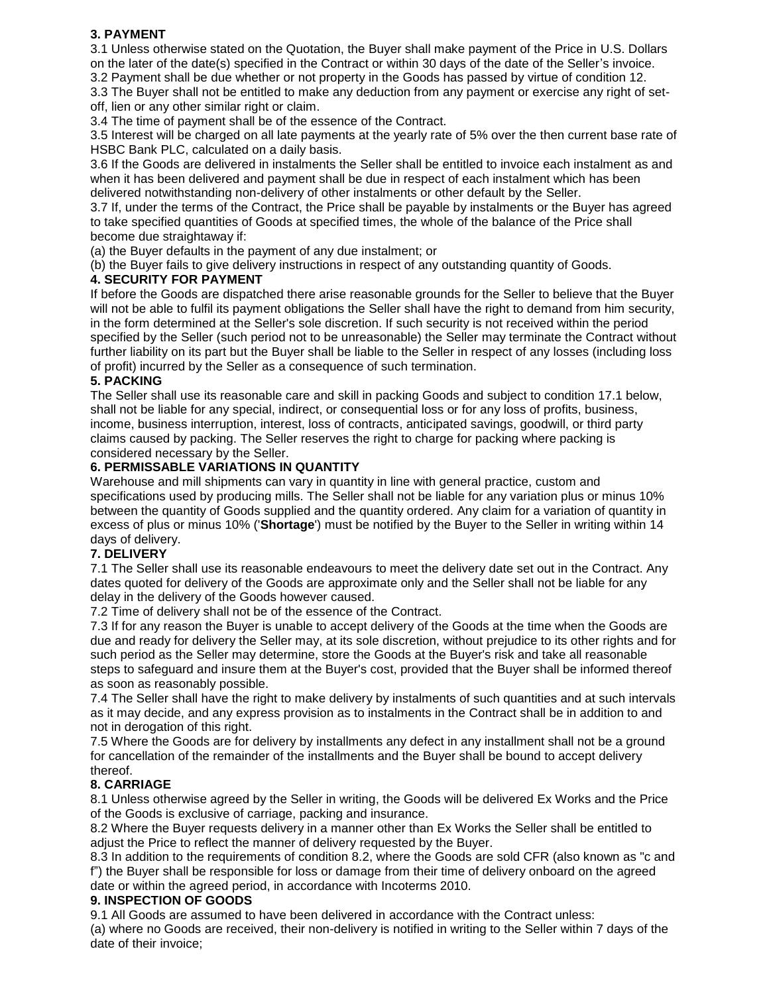# **3. PAYMENT**

3.1 Unless otherwise stated on the Quotation, the Buyer shall make payment of the Price in U.S. Dollars on the later of the date(s) specified in the Contract or within 30 days of the date of the Seller's invoice.

3.2 Payment shall be due whether or not property in the Goods has passed by virtue of condition 12. 3.3 The Buyer shall not be entitled to make any deduction from any payment or exercise any right of setoff, lien or any other similar right or claim.

3.4 The time of payment shall be of the essence of the Contract.

3.5 Interest will be charged on all late payments at the yearly rate of 5% over the then current base rate of HSBC Bank PLC, calculated on a daily basis.

3.6 If the Goods are delivered in instalments the Seller shall be entitled to invoice each instalment as and when it has been delivered and payment shall be due in respect of each instalment which has been delivered notwithstanding non-delivery of other instalments or other default by the Seller.

3.7 If, under the terms of the Contract, the Price shall be payable by instalments or the Buyer has agreed to take specified quantities of Goods at specified times, the whole of the balance of the Price shall become due straightaway if:

(a) the Buyer defaults in the payment of any due instalment; or

(b) the Buyer fails to give delivery instructions in respect of any outstanding quantity of Goods.

## **4. SECURITY FOR PAYMENT**

If before the Goods are dispatched there arise reasonable grounds for the Seller to believe that the Buyer will not be able to fulfil its payment obligations the Seller shall have the right to demand from him security, in the form determined at the Seller's sole discretion. If such security is not received within the period specified by the Seller (such period not to be unreasonable) the Seller may terminate the Contract without further liability on its part but the Buyer shall be liable to the Seller in respect of any losses (including loss of profit) incurred by the Seller as a consequence of such termination.

### **5. PACKING**

The Seller shall use its reasonable care and skill in packing Goods and subject to condition 17.1 below, shall not be liable for any special, indirect, or consequential loss or for any loss of profits, business, income, business interruption, interest, loss of contracts, anticipated savings, goodwill, or third party claims caused by packing. The Seller reserves the right to charge for packing where packing is considered necessary by the Seller.

### **6. PERMISSABLE VARIATIONS IN QUANTITY**

Warehouse and mill shipments can vary in quantity in line with general practice, custom and specifications used by producing mills. The Seller shall not be liable for any variation plus or minus 10% between the quantity of Goods supplied and the quantity ordered. Any claim for a variation of quantity in excess of plus or minus 10% ('**Shortage**') must be notified by the Buyer to the Seller in writing within 14 days of delivery.

## **7. DELIVERY**

7.1 The Seller shall use its reasonable endeavours to meet the delivery date set out in the Contract. Any dates quoted for delivery of the Goods are approximate only and the Seller shall not be liable for any delay in the delivery of the Goods however caused.

7.2 Time of delivery shall not be of the essence of the Contract.

7.3 If for any reason the Buyer is unable to accept delivery of the Goods at the time when the Goods are due and ready for delivery the Seller may, at its sole discretion, without prejudice to its other rights and for such period as the Seller may determine, store the Goods at the Buyer's risk and take all reasonable steps to safeguard and insure them at the Buyer's cost, provided that the Buyer shall be informed thereof as soon as reasonably possible.

7.4 The Seller shall have the right to make delivery by instalments of such quantities and at such intervals as it may decide, and any express provision as to instalments in the Contract shall be in addition to and not in derogation of this right.

7.5 Where the Goods are for delivery by installments any defect in any installment shall not be a ground for cancellation of the remainder of the installments and the Buyer shall be bound to accept delivery thereof.

## **8. CARRIAGE**

8.1 Unless otherwise agreed by the Seller in writing, the Goods will be delivered Ex Works and the Price of the Goods is exclusive of carriage, packing and insurance.

8.2 Where the Buyer requests delivery in a manner other than Ex Works the Seller shall be entitled to adjust the Price to reflect the manner of delivery requested by the Buyer.

8.3 In addition to the requirements of condition 8.2, where the Goods are sold CFR (also known as "c and f") the Buyer shall be responsible for loss or damage from their time of delivery onboard on the agreed date or within the agreed period, in accordance with Incoterms 2010.

#### **9. INSPECTION OF GOODS**

9.1 All Goods are assumed to have been delivered in accordance with the Contract unless: (a) where no Goods are received, their non-delivery is notified in writing to the Seller within 7 days of the date of their invoice;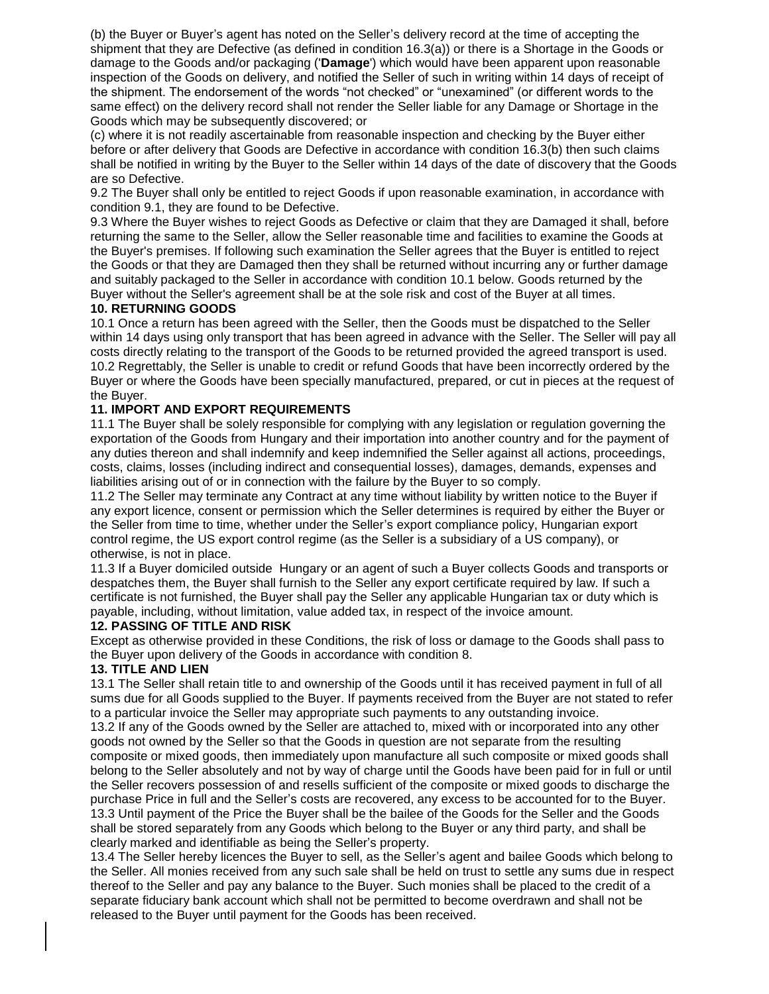(b) the Buyer or Buyer's agent has noted on the Seller's delivery record at the time of accepting the shipment that they are Defective (as defined in condition 16.3(a)) or there is a Shortage in the Goods or damage to the Goods and/or packaging ('**Damage**') which would have been apparent upon reasonable inspection of the Goods on delivery, and notified the Seller of such in writing within 14 days of receipt of the shipment. The endorsement of the words "not checked" or "unexamined" (or different words to the same effect) on the delivery record shall not render the Seller liable for any Damage or Shortage in the Goods which may be subsequently discovered; or

(c) where it is not readily ascertainable from reasonable inspection and checking by the Buyer either before or after delivery that Goods are Defective in accordance with condition 16.3(b) then such claims shall be notified in writing by the Buyer to the Seller within 14 days of the date of discovery that the Goods are so Defective.

9.2 The Buyer shall only be entitled to reject Goods if upon reasonable examination, in accordance with condition 9.1, they are found to be Defective.

9.3 Where the Buyer wishes to reject Goods as Defective or claim that they are Damaged it shall, before returning the same to the Seller, allow the Seller reasonable time and facilities to examine the Goods at the Buyer's premises. If following such examination the Seller agrees that the Buyer is entitled to reject the Goods or that they are Damaged then they shall be returned without incurring any or further damage and suitably packaged to the Seller in accordance with condition 10.1 below. Goods returned by the Buyer without the Seller's agreement shall be at the sole risk and cost of the Buyer at all times.

### **10. RETURNING GOODS**

10.1 Once a return has been agreed with the Seller, then the Goods must be dispatched to the Seller within 14 days using only transport that has been agreed in advance with the Seller. The Seller will pay all costs directly relating to the transport of the Goods to be returned provided the agreed transport is used. 10.2 Regrettably, the Seller is unable to credit or refund Goods that have been incorrectly ordered by the Buyer or where the Goods have been specially manufactured, prepared, or cut in pieces at the request of the Buyer.

### **11. IMPORT AND EXPORT REQUIREMENTS**

11.1 The Buyer shall be solely responsible for complying with any legislation or regulation governing the exportation of the Goods from Hungary and their importation into another country and for the payment of any duties thereon and shall indemnify and keep indemnified the Seller against all actions, proceedings, costs, claims, losses (including indirect and consequential losses), damages, demands, expenses and liabilities arising out of or in connection with the failure by the Buyer to so comply.

11.2 The Seller may terminate any Contract at any time without liability by written notice to the Buyer if any export licence, consent or permission which the Seller determines is required by either the Buyer or the Seller from time to time, whether under the Seller's export compliance policy, Hungarian export control regime, the US export control regime (as the Seller is a subsidiary of a US company), or otherwise, is not in place.

11.3 If a Buyer domiciled outside Hungary or an agent of such a Buyer collects Goods and transports or despatches them, the Buyer shall furnish to the Seller any export certificate required by law. If such a certificate is not furnished, the Buyer shall pay the Seller any applicable Hungarian tax or duty which is payable, including, without limitation, value added tax, in respect of the invoice amount.

#### **12. PASSING OF TITLE AND RISK**

Except as otherwise provided in these Conditions, the risk of loss or damage to the Goods shall pass to the Buyer upon delivery of the Goods in accordance with condition 8.

#### **13. TITLE AND LIEN**

13.1 The Seller shall retain title to and ownership of the Goods until it has received payment in full of all sums due for all Goods supplied to the Buyer. If payments received from the Buyer are not stated to refer to a particular invoice the Seller may appropriate such payments to any outstanding invoice.

13.2 If any of the Goods owned by the Seller are attached to, mixed with or incorporated into any other goods not owned by the Seller so that the Goods in question are not separate from the resulting composite or mixed goods, then immediately upon manufacture all such composite or mixed goods shall belong to the Seller absolutely and not by way of charge until the Goods have been paid for in full or until the Seller recovers possession of and resells sufficient of the composite or mixed goods to discharge the purchase Price in full and the Seller's costs are recovered, any excess to be accounted for to the Buyer. 13.3 Until payment of the Price the Buyer shall be the bailee of the Goods for the Seller and the Goods shall be stored separately from any Goods which belong to the Buyer or any third party, and shall be clearly marked and identifiable as being the Seller's property.

13.4 The Seller hereby licences the Buyer to sell, as the Seller's agent and bailee Goods which belong to the Seller. All monies received from any such sale shall be held on trust to settle any sums due in respect thereof to the Seller and pay any balance to the Buyer. Such monies shall be placed to the credit of a separate fiduciary bank account which shall not be permitted to become overdrawn and shall not be released to the Buyer until payment for the Goods has been received.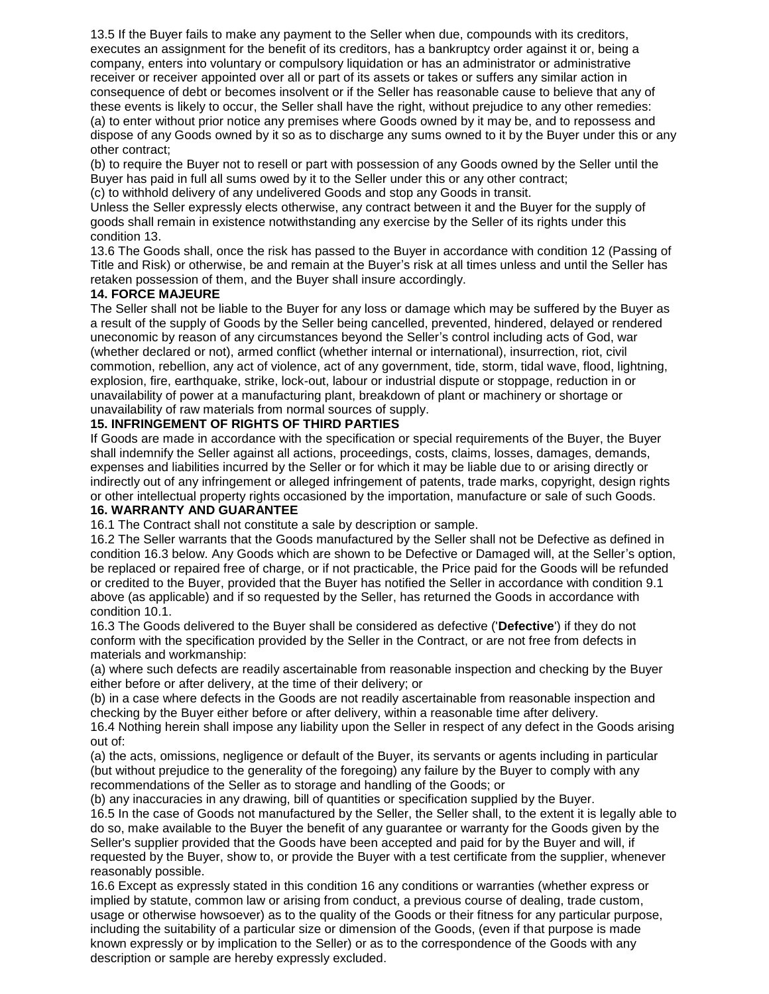13.5 If the Buyer fails to make any payment to the Seller when due, compounds with its creditors, executes an assignment for the benefit of its creditors, has a bankruptcy order against it or, being a company, enters into voluntary or compulsory liquidation or has an administrator or administrative receiver or receiver appointed over all or part of its assets or takes or suffers any similar action in consequence of debt or becomes insolvent or if the Seller has reasonable cause to believe that any of these events is likely to occur, the Seller shall have the right, without prejudice to any other remedies: (a) to enter without prior notice any premises where Goods owned by it may be, and to repossess and dispose of any Goods owned by it so as to discharge any sums owned to it by the Buyer under this or any other contract;

(b) to require the Buyer not to resell or part with possession of any Goods owned by the Seller until the Buyer has paid in full all sums owed by it to the Seller under this or any other contract;

(c) to withhold delivery of any undelivered Goods and stop any Goods in transit.

Unless the Seller expressly elects otherwise, any contract between it and the Buyer for the supply of goods shall remain in existence notwithstanding any exercise by the Seller of its rights under this condition 13.

13.6 The Goods shall, once the risk has passed to the Buyer in accordance with condition 12 (Passing of Title and Risk) or otherwise, be and remain at the Buyer's risk at all times unless and until the Seller has retaken possession of them, and the Buyer shall insure accordingly.

#### **14. FORCE MAJEURE**

The Seller shall not be liable to the Buyer for any loss or damage which may be suffered by the Buyer as a result of the supply of Goods by the Seller being cancelled, prevented, hindered, delayed or rendered uneconomic by reason of any circumstances beyond the Seller's control including acts of God, war (whether declared or not), armed conflict (whether internal or international), insurrection, riot, civil commotion, rebellion, any act of violence, act of any government, tide, storm, tidal wave, flood, lightning, explosion, fire, earthquake, strike, lock-out, labour or industrial dispute or stoppage, reduction in or unavailability of power at a manufacturing plant, breakdown of plant or machinery or shortage or unavailability of raw materials from normal sources of supply.

### **15. INFRINGEMENT OF RIGHTS OF THIRD PARTIES**

If Goods are made in accordance with the specification or special requirements of the Buyer, the Buyer shall indemnify the Seller against all actions, proceedings, costs, claims, losses, damages, demands, expenses and liabilities incurred by the Seller or for which it may be liable due to or arising directly or indirectly out of any infringement or alleged infringement of patents, trade marks, copyright, design rights or other intellectual property rights occasioned by the importation, manufacture or sale of such Goods.

### **16. WARRANTY AND GUARANTEE**

16.1 The Contract shall not constitute a sale by description or sample.

16.2 The Seller warrants that the Goods manufactured by the Seller shall not be Defective as defined in condition 16.3 below. Any Goods which are shown to be Defective or Damaged will, at the Seller's option, be replaced or repaired free of charge, or if not practicable, the Price paid for the Goods will be refunded or credited to the Buyer, provided that the Buyer has notified the Seller in accordance with condition 9.1 above (as applicable) and if so requested by the Seller, has returned the Goods in accordance with condition 10.1.

16.3 The Goods delivered to the Buyer shall be considered as defective ('**Defective**') if they do not conform with the specification provided by the Seller in the Contract, or are not free from defects in materials and workmanship:

(a) where such defects are readily ascertainable from reasonable inspection and checking by the Buyer either before or after delivery, at the time of their delivery; or

(b) in a case where defects in the Goods are not readily ascertainable from reasonable inspection and checking by the Buyer either before or after delivery, within a reasonable time after delivery.

16.4 Nothing herein shall impose any liability upon the Seller in respect of any defect in the Goods arising out of:

(a) the acts, omissions, negligence or default of the Buyer, its servants or agents including in particular (but without prejudice to the generality of the foregoing) any failure by the Buyer to comply with any recommendations of the Seller as to storage and handling of the Goods; or

(b) any inaccuracies in any drawing, bill of quantities or specification supplied by the Buyer.

16.5 In the case of Goods not manufactured by the Seller, the Seller shall, to the extent it is legally able to do so, make available to the Buyer the benefit of any guarantee or warranty for the Goods given by the Seller's supplier provided that the Goods have been accepted and paid for by the Buyer and will, if requested by the Buyer, show to, or provide the Buyer with a test certificate from the supplier, whenever reasonably possible.

16.6 Except as expressly stated in this condition 16 any conditions or warranties (whether express or implied by statute, common law or arising from conduct, a previous course of dealing, trade custom, usage or otherwise howsoever) as to the quality of the Goods or their fitness for any particular purpose, including the suitability of a particular size or dimension of the Goods, (even if that purpose is made known expressly or by implication to the Seller) or as to the correspondence of the Goods with any description or sample are hereby expressly excluded.